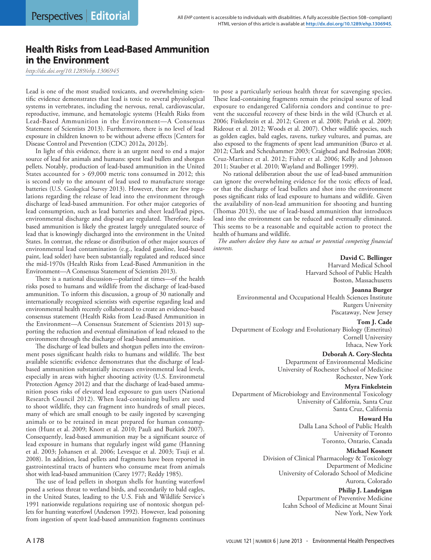# Health Risks from Lead-Based Ammunition in the Environment

*<http://dx.doi.org/10.1289/ehp.1306945>*

Lead is one of the most studied toxicants, and overwhelming scientific evidence demonstrates that lead is toxic to several physiological systems in vertebrates, including the nervous, renal, cardiovascular, reproductive, immune, and hematologic systems (Health Risks from Lead-Based Ammunition in the Environment—A Consensus Statement of Scientists 2013). Furthermore, there is no level of lead exposure in children known to be without adverse effects [Centers for Disease Control and Prevention (CDC) 2012a, 2012b].

In light of this evidence, there is an urgent need to end a major source of lead for animals and humans: spent lead bullets and shotgun pellets. Notably, production of lead-based ammunition in the United States accounted for > 69,000 metric tons consumed in 2012; this is second only to the amount of lead used to manufacture storage batteries (U.S. Geological Survey 2013). However, there are few regulations regarding the release of lead into the environment through discharge of lead-based ammunition. For other major categories of lead consumption, such as lead batteries and sheet lead/lead pipes, environmental discharge and disposal are regulated. Therefore, leadbased ammunition is likely the greatest largely unregulated source of lead that is knowingly discharged into the environment in the United States. In contrast, the release or distribution of other major sources of environmental lead contamination (e.g., leaded gasoline, lead-based paint, lead solder) have been substantially regulated and reduced since the mid-1970s (Health Risks from Lead-Based Ammunition in the Environment—A Consensus Statement of Scientists 2013).

There is a national discussion—polarized at times—of the health risks posed to humans and wildlife from the discharge of lead-based ammunition. To inform this discussion, a group of 30 nationally and internationally recognized scientists with expertise regarding lead and environmental health recently collaborated to create an evidence-based consensus statement (Health Risks from Lead-Based Ammunition in the Environment—A Consensus Statement of Scientists 2013) supporting the reduction and eventual elimination of lead released to the environment through the discharge of lead-based ammunition.

The discharge of lead bullets and shotgun pellets into the environment poses significant health risks to humans and wildlife. The best available scientific evidence demonstrates that the discharge of leadbased ammunition substantially increases environmental lead levels, especially in areas with higher shooting activity (U.S. Environmetal Protection Agency 2012) and that the discharge of lead-based ammunition poses risks of elevated lead exposure to gun users (National Research Council 2012). When lead-containing bullets are used to shoot wildlife, they can fragment into hundreds of small pieces, many of which are small enough to be easily ingested by scavenging animals or to be retained in meat prepared for human consumption (Hunt et al. 2009; Knott et al. 2010; Pauli and Burkirk 2007). Consequently, lead-based ammunition may be a significant source of lead exposure in humans that regularly ingest wild game (Hanning et al. 2003; Johansen et al. 2006; Levesque et al. 2003; Tsuji et al. 2008). In addition, lead pellets and fragments have been reported in gastrointestinal tracts of hunters who consume meat from animals shot with lead-based ammunition (Carey 1977; Reddy 1985).

The use of lead pellets in shotgun shells for hunting waterfowl posed a serious threat to wetland birds, and secondarily to bald eagles, in the United States, leading to the U.S. Fish and Wildlife Service's 1991 nationwide regulations requiring use of nontoxic shotgun pellets for hunting waterfowl (Anderson 1992). However, lead poisoning from ingestion of spent lead-based ammunition fragments continues to pose a particularly serious health threat for scavenging species. These lead-containing fragments remain the principal source of lead exposure to endangered California condors and continue to prevent the successful recovery of these birds in the wild (Church et al. 2006; Finkelstein et al. 2012; Green et al. 2008; Parish et al. 2009; Rideout et al. 2012; Woods et al. 2007). Other wildlife species, such as golden eagles, bald eagles, ravens, turkey vultures, and pumas, are also exposed to the fragments of spent lead ammunition (Burco et al. 2012; Clark and Scheuhammer 2003; Craighead and Bedrosian 2008; Cruz-Martinez et al. 2012; Fisher et al. 2006; Kelly and Johnson 2011; Stauber et al. 2010; Wayland and Bollinger 1999).

No rational deliberation about the use of lead-based ammunition can ignore the overwhelming evidence for the toxic effects of lead, or that the discharge of lead bullets and shot into the environment poses significant risks of lead exposure to humans and wildlife. Given the availability of non-lead ammunition for shooting and hunting (Thomas 2013), the use of lead-based ammunition that introduces lead into the environment can be reduced and eventually eliminated. This seems to be a reasonable and equitable action to protect the health of humans and wildlife.

*The authors declare they have no actual or potential competing financial interests.* 

# **David C. Bellinger**

Harvard Medical School Harvard School of Public Health Boston, Massachusetts

### **Joanna Burger**

Environmental and Occupational Health Sciences Institute Rutgers University Piscataway, New Jersey

# **Tom J. Cade**

Department of Ecology and Evolutionary Biology (Emeritus) Cornell University Ithaca, New York

**Deborah A. Cory-Slechta**

Department of Environmental Medicine University of Rochester School of Medicine Rochester, New York

## **Myra Finkelstein**

Department of Microbiology and Environmental Toxicology University of California, Santa Cruz Santa Cruz, California

# **Howard Hu**

Dalla Lana School of Public Health University of Toronto Toronto, Ontario, Canada

### **Michael Kosnett**

Division of Clinical Pharmacology & Toxicology Department of Medicine University of Colorado School of Medicine Aurora, Colorado

> **Philip J. Landrigan** Department of Preventive Medicine Icahn School of Medicine at Mount Sinai New York, New York